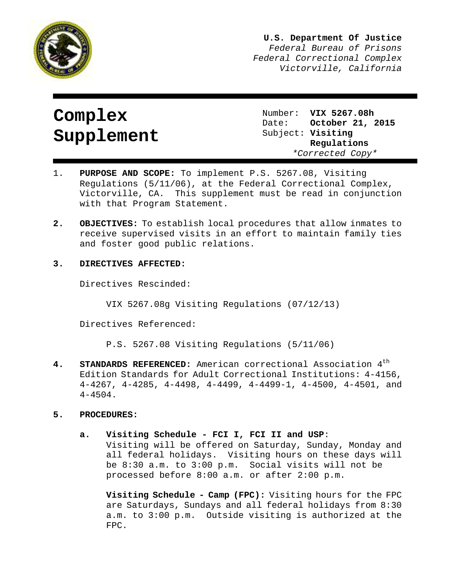

**U.S. Department Of Justice** *Federal Bureau of Prisons Federal Correctional Complex Victorville, California*

# **Complex Supplement**

Number: **VIX 5267.08h** Date: **October 21, 2015** Subject: **Visiting Regulations** *\*Corrected Copy\** 

- 1. **PURPOSE AND SCOPE:** To implement P.S. 5267.08, Visiting Regulations (5/11/06), at the Federal Correctional Complex, Victorville, CA. This supplement must be read in conjunction with that Program Statement.
- **2. OBJECTIVES:** To establish local procedures that allow inmates to receive supervised visits in an effort to maintain family ties and foster good public relations.

# **3. DIRECTIVES AFFECTED:**

Directives Rescinded:

VIX 5267.08g Visiting Regulations (07/12/13)

Directives Referenced:

P.S. 5267.08 Visiting Regulations (5/11/06)

**4. STANDARDS REFERENCED:** American correctional Association 4th Edition Standards for Adult Correctional Institutions: 4-4156, 4-4267, 4-4285, 4-4498, 4-4499, 4-4499-1, 4-4500, 4-4501, and 4-4504.

## **5. PROCEDURES:**

**a. Visiting Schedule - FCI I, FCI II and USP**:

Visiting will be offered on Saturday, Sunday, Monday and all federal holidays. Visiting hours on these days will be 8:30 a.m. to 3:00 p.m. Social visits will not be processed before 8:00 a.m. or after 2:00 p.m.

**Visiting Schedule - Camp (FPC):** Visiting hours for the FPC are Saturdays, Sundays and all federal holidays from 8:30 a.m. to 3:00 p.m. Outside visiting is authorized at the FPC.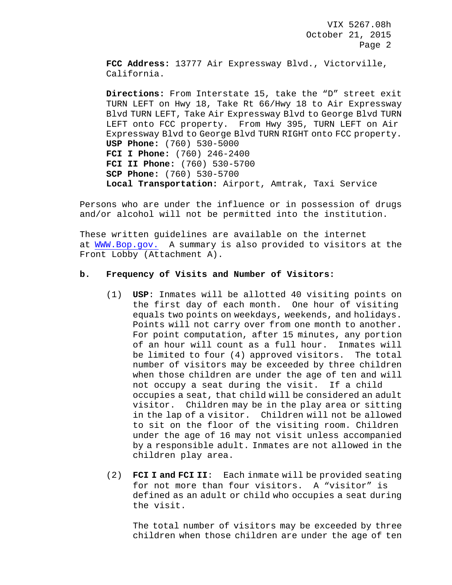**FCC Address:** 13777 Air Expressway Blvd., Victorville, California.

**Directions:** From Interstate 15, take the "D" street exit TURN LEFT on Hwy 18, Take Rt 66/Hwy 18 to Air Expressway Blvd TURN LEFT, Take Air Expressway Blvd to George Blvd TURN LEFT onto FCC property. From Hwy 395, TURN LEFT on Air Expressway Blvd to George Blvd TURN RIGHT onto FCC property. **USP Phone:** (760) 530-5000 **FCI I Phone:** (760) 246-2400 **FCI II Phone:** (760) 530-5700 **SCP Phone:** (760) 530-5700 **Local Transportation:** Airport, Amtrak, Taxi Service

Persons who are under the influence or in possession of drugs and/or alcohol will not be permitted into the institution.

These written guidelines are available on the internet at [WWW.Bop.gov.](http://www.bop.gov/) A summary is also provided to visitors at the Front Lobby (Attachment A).

### **b. Frequency of Visits and Number of Visitors:**

- (1) **USP**: Inmates will be allotted 40 visiting points on the first day of each month. One hour of visiting equals two points on weekdays, weekends, and holidays. Points will not carry over from one month to another. For point computation, after 15 minutes, any portion of an hour will count as a full hour. Inmates will be limited to four (4) approved visitors. The total number of visitors may be exceeded by three children when those children are under the age of ten and will not occupy a seat during the visit. If a child occupies a seat, that child will be considered an adult visitor. Children may be in the play area or sitting in the lap of a visitor. Children will not be allowed to sit on the floor of the visiting room. Children under the age of 16 may not visit unless accompanied by a responsible adult. Inmates are not allowed in the children play area.
- (2) **FCI I and FCI II**: Each inmate will be provided seating for not more than four visitors. A "visitor" is defined as an adult or child who occupies a seat during the visit.

The total number of visitors may be exceeded by three children when those children are under the age of ten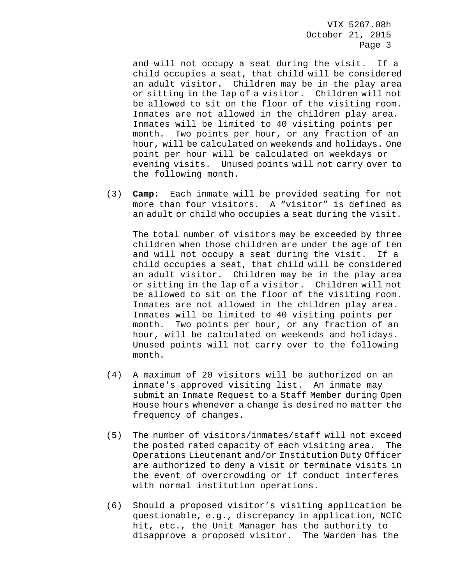and will not occupy a seat during the visit. If a child occupies a seat, that child will be considered an adult visitor. Children may be in the play area or sitting in the lap of a visitor. Children will not be allowed to sit on the floor of the visiting room. Inmates are not allowed in the children play area. Inmates will be limited to 40 visiting points per month. Two points per hour, or any fraction of an hour, will be calculated on weekends and holidays. One point per hour will be calculated on weekdays or evening visits. Unused points will not carry over to the following month.

(3) **Camp:** Each inmate will be provided seating for not more than four visitors. A "visitor" is defined as an adult or child who occupies a seat during the visit.

 The total number of visitors may be exceeded by three children when those children are under the age of ten and will not occupy a seat during the visit. If a child occupies a seat, that child will be considered an adult visitor. Children may be in the play area or sitting in the lap of a visitor. Children will not be allowed to sit on the floor of the visiting room. Inmates are not allowed in the children play area. Inmates will be limited to 40 visiting points per month. Two points per hour, or any fraction of an hour, will be calculated on weekends and holidays. Unused points will not carry over to the following month.

- (4) A maximum of 20 visitors will be authorized on an inmate's approved visiting list. An inmate may submit an Inmate Request to a Staff Member during Open House hours whenever a change is desired no matter the frequency of changes.
- (5) The number of visitors/inmates/staff will not exceed the posted rated capacity of each visiting area. The Operations Lieutenant and/or Institution Duty Officer are authorized to deny a visit or terminate visits in the event of overcrowding or if conduct interferes with normal institution operations.
- (6) Should a proposed visitor's visiting application be questionable, e.g., discrepancy in application, NCIC hit, etc., the Unit Manager has the authority to disapprove a proposed visitor. The Warden has the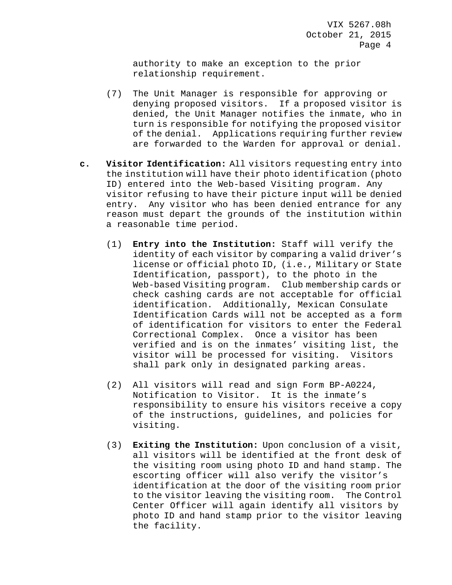authority to make an exception to the prior relationship requirement.

- (7) The Unit Manager is responsible for approving or denying proposed visitors. If a proposed visitor is denied, the Unit Manager notifies the inmate, who in turn is responsible for notifying the proposed visitor of the denial. Applications requiring further review are forwarded to the Warden for approval or denial.
- **c. Visitor Identification:** All visitors requesting entry into the institution will have their photo identification (photo ID) entered into the Web-based Visiting program. Any visitor refusing to have their picture input will be denied entry. Any visitor who has been denied entrance for any reason must depart the grounds of the institution within a reasonable time period.
	- (1) **Entry into the Institution:** Staff will verify the identity of each visitor by comparing a valid driver's license or official photo ID, (i.e., Military or State Identification, passport), to the photo in the Web-based Visiting program. Club membership cards or check cashing cards are not acceptable for official identification. Additionally, Mexican Consulate Identification Cards will not be accepted as a form of identification for visitors to enter the Federal Correctional Complex. Once a visitor has been verified and is on the inmates' visiting list, the visitor will be processed for visiting. Visitors shall park only in designated parking areas.
	- (2) All visitors will read and sign Form BP-A0224, Notification to Visitor. It is the inmate's responsibility to ensure his visitors receive a copy of the instructions, guidelines, and policies for visiting.
	- (3) **Exiting the Institution:** Upon conclusion of a visit, all visitors will be identified at the front desk of the visiting room using photo ID and hand stamp. The escorting officer will also verify the visitor's identification at the door of the visiting room prior to the visitor leaving the visiting room. The Control Center Officer will again identify all visitors by photo ID and hand stamp prior to the visitor leaving the facility.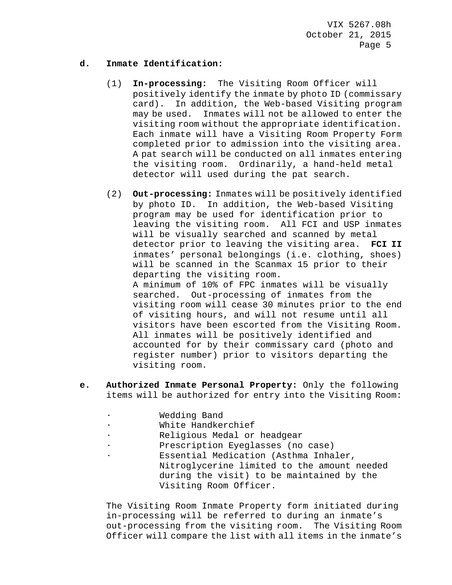## **d. Inmate Identification:**

- (1) **In-processing:** The Visiting Room Officer will positively identify the inmate by photo ID (commissary card). In addition, the Web-based Visiting program may be used. Inmates will not be allowed to enter the visiting room without the appropriate identification. Each inmate will have a Visiting Room Property Form completed prior to admission into the visiting area. A pat search will be conducted on all inmates entering the visiting room. Ordinarily, a hand-held metal detector will used during the pat search.
- (2) **Out-processing:** Inmates will be positively identified by photo ID. In addition, the Web-based Visiting program may be used for identification prior to leaving the visiting room. All FCI and USP inmates will be visually searched and scanned by metal<br>detector prior to leaving the visiting area. FCI II detector prior to leaving the visiting area. inmates' personal belongings (i.e. clothing, shoes) will be scanned in the Scanmax 15 prior to their departing the visiting room. A minimum of 10% of FPC inmates will be visually searched. Out-processing of inmates from the visiting room will cease 30 minutes prior to the end of visiting hours, and will not resume until all visitors have been escorted from the Visiting Room.

All inmates will be positively identified and accounted for by their commissary card (photo and register number) prior to visitors departing the visiting room.

- **e. Authorized Inmate Personal Property:** Only the following items will be authorized for entry into the Visiting Room:
	- ∙ Wedding Band
	- ∙ White Handkerchief
	- ∙ Religious Medal or headgear
	- ∙ Prescription Eyeglasses (no case)
	- ∙ Essential Medication (Asthma Inhaler, Nitroglycerine limited to the amount needed during the visit) to be maintained by the Visiting Room Officer.

The Visiting Room Inmate Property form initiated during in-processing will be referred to during an inmate's out-processing from the visiting room. The Visiting Room Officer will compare the list with all items in the inmate's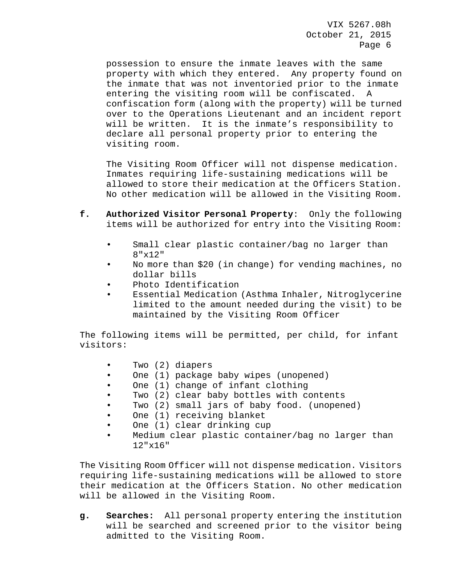possession to ensure the inmate leaves with the same property with which they entered. Any property found on the inmate that was not inventoried prior to the inmate entering the visiting room will be confiscated. A confiscation form (along with the property) will be turned over to the Operations Lieutenant and an incident report will be written. It is the inmate's responsibility to declare all personal property prior to entering the visiting room.

The Visiting Room Officer will not dispense medication. Inmates requiring life-sustaining medications will be allowed to store their medication at the Officers Station. No other medication will be allowed in the Visiting Room.

- **f. Authorized Visitor Personal Property**: Only the following items will be authorized for entry into the Visiting Room:
	- Small clear plastic container/bag no larger than 8"x12"
	- No more than \$20 (in change) for vending machines, no dollar bills
	- Photo Identification
	- Essential Medication (Asthma Inhaler, Nitroglycerine limited to the amount needed during the visit) to be maintained by the Visiting Room Officer

The following items will be permitted, per child, for infant visitors:

- Two (2) diapers
- One (1) package baby wipes (unopened)
- One (1) change of infant clothing
- Two (2) clear baby bottles with contents
- Two (2) small jars of baby food. (unopened)
- One (1) receiving blanket
- One (1) clear drinking cup
- Medium clear plastic container/bag no larger than 12"x16"

The Visiting Room Officer will not dispense medication. Visitors requiring life-sustaining medications will be allowed to store their medication at the Officers Station. No other medication will be allowed in the Visiting Room.

**g. Searches:** All personal property entering the institution will be searched and screened prior to the visitor being admitted to the Visiting Room.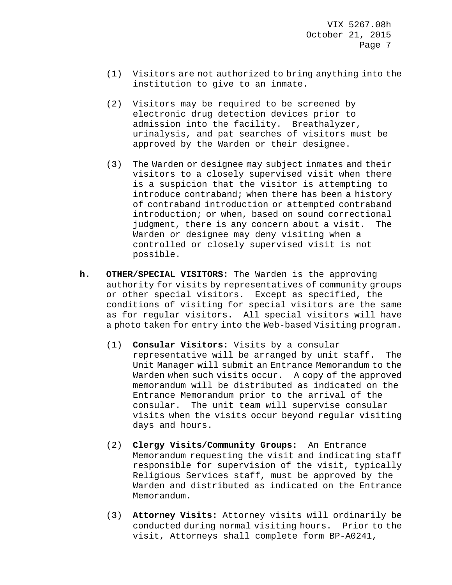- (1) Visitors are not authorized to bring anything into the institution to give to an inmate.
- (2) Visitors may be required to be screened by electronic drug detection devices prior to admission into the facility. Breathalyzer, urinalysis, and pat searches of visitors must be approved by the Warden or their designee.
- (3) The Warden or designee may subject inmates and their visitors to a closely supervised visit when there is a suspicion that the visitor is attempting to introduce contraband; when there has been a history of contraband introduction or attempted contraband introduction; or when, based on sound correctional judgment, there is any concern about a visit. The Warden or designee may deny visiting when a controlled or closely supervised visit is not possible.
- **h. OTHER/SPECIAL VISITORS:** The Warden is the approving authority for visits by representatives of community groups or other special visitors. Except as specified, the conditions of visiting for special visitors are the same as for regular visitors. All special visitors will have a photo taken for entry into the Web-based Visiting program.
	- (1) **Consular Visitors:** Visits by a consular representative will be arranged by unit staff. The Unit Manager will submit an Entrance Memorandum to the Warden when such visits occur. A copy of the approved memorandum will be distributed as indicated on the Entrance Memorandum prior to the arrival of the consular. The unit team will supervise consular visits when the visits occur beyond regular visiting days and hours.
	- (2) **Clergy Visits/Community Groups:** An Entrance Memorandum requesting the visit and indicating staff responsible for supervision of the visit, typically Religious Services staff, must be approved by the Warden and distributed as indicated on the Entrance Memorandum.
	- (3) **Attorney Visits:** Attorney visits will ordinarily be conducted during normal visiting hours. Prior to the visit, Attorneys shall complete form BP-A0241,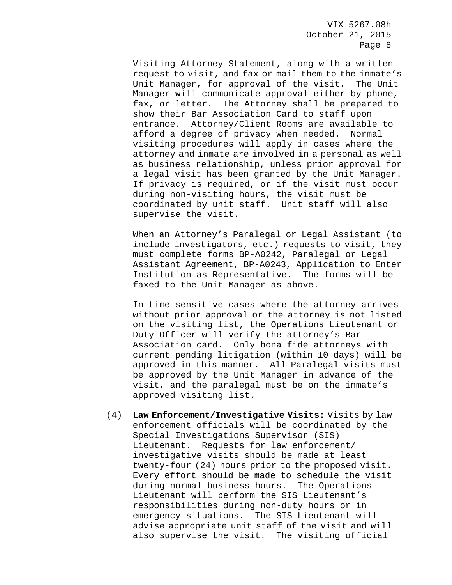Visiting Attorney Statement, along with a written request to visit, and fax or mail them to the inmate's Unit Manager, for approval of the visit. The Unit Manager will communicate approval either by phone, fax, or letter. The Attorney shall be prepared to show their Bar Association Card to staff upon entrance. Attorney/Client Rooms are available to afford a degree of privacy when needed. Normal visiting procedures will apply in cases where the attorney and inmate are involved in a personal as well as business relationship, unless prior approval for a legal visit has been granted by the Unit Manager. If privacy is required, or if the visit must occur during non-visiting hours, the visit must be coordinated by unit staff. Unit staff will also supervise the visit.

When an Attorney's Paralegal or Legal Assistant (to include investigators, etc.) requests to visit, they must complete forms BP-A0242, Paralegal or Legal Assistant Agreement, BP-A0243, Application to Enter Institution as Representative. The forms will be faxed to the Unit Manager as above.

In time-sensitive cases where the attorney arrives without prior approval or the attorney is not listed on the visiting list, the Operations Lieutenant or Duty Officer will verify the attorney's Bar Association card. Only bona fide attorneys with current pending litigation (within 10 days) will be approved in this manner. All Paralegal visits must be approved by the Unit Manager in advance of the visit, and the paralegal must be on the inmate's approved visiting list.

(4) **Law Enforcement/Investigative Visits:** Visits by law enforcement officials will be coordinated by the Special Investigations Supervisor (SIS) Lieutenant. Requests for law enforcement/ investigative visits should be made at least twenty-four (24) hours prior to the proposed visit. Every effort should be made to schedule the visit during normal business hours. The Operations Lieutenant will perform the SIS Lieutenant's responsibilities during non-duty hours or in emergency situations. The SIS Lieutenant will advise appropriate unit staff of the visit and will also supervise the visit. The visiting official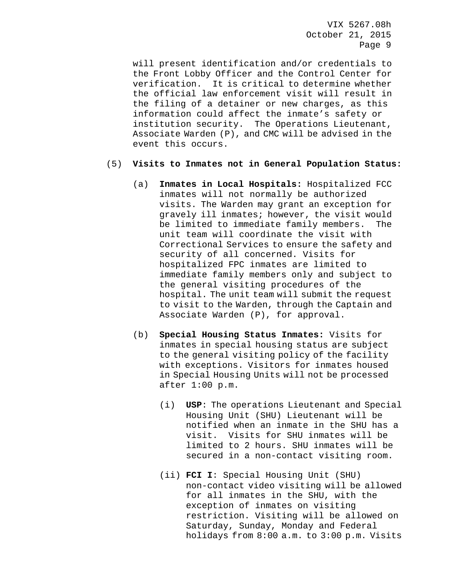will present identification and/or credentials to the Front Lobby Officer and the Control Center for verification. It is critical to determine whether the official law enforcement visit will result in the filing of a detainer or new charges, as this information could affect the inmate's safety or institution security. The Operations Lieutenant, Associate Warden (P), and CMC will be advised in the event this occurs.

## (5) **Visits to Inmates not in General Population Status:**

- (a) **Inmates in Local Hospitals:** Hospitalized FCC inmates will not normally be authorized visits. The Warden may grant an exception for gravely ill inmates; however, the visit would be limited to immediate family members. The unit team will coordinate the visit with Correctional Services to ensure the safety and security of all concerned. Visits for hospitalized FPC inmates are limited to immediate family members only and subject to the general visiting procedures of the hospital. The unit team will submit the request to visit to the Warden, through the Captain and Associate Warden (P), for approval.
- (b) **Special Housing Status Inmates:** Visits for inmates in special housing status are subject to the general visiting policy of the facility with exceptions. Visitors for inmates housed in Special Housing Units will not be processed after 1:00 p.m.
	- (i) **USP**: The operations Lieutenant and Special Housing Unit (SHU) Lieutenant will be notified when an inmate in the SHU has a visit. Visits for SHU inmates will be limited to 2 hours. SHU inmates will be secured in a non-contact visiting room.
	- (ii) **FCI I**: Special Housing Unit (SHU) non-contact video visiting will be allowed for all inmates in the SHU, with the exception of inmates on visiting restriction. Visiting will be allowed on Saturday, Sunday, Monday and Federal holidays from 8:00 a.m. to 3:00 p.m. Visits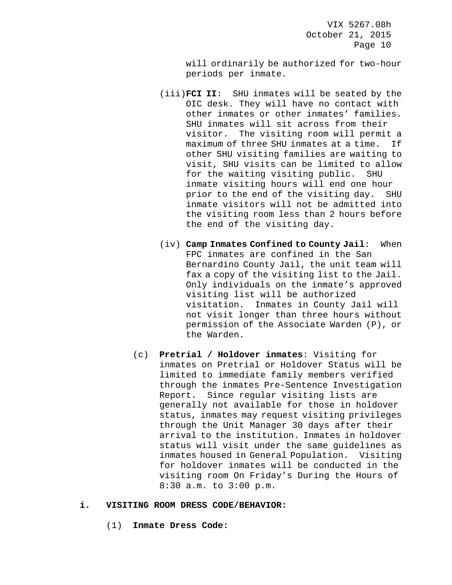will ordinarily be authorized for two-hour periods per inmate.

- (iii)**FCI II**: SHU inmates will be seated by the OIC desk. They will have no contact with other inmates or other inmates' families. SHU inmates will sit across from their visitor. The visiting room will permit a maximum of three SHU inmates at a time. If other SHU visiting families are waiting to visit, SHU visits can be limited to allow for the waiting visiting public. SHU inmate visiting hours will end one hour prior to the end of the visiting day. SHU inmate visitors will not be admitted into the visiting room less than 2 hours before the end of the visiting day.
- (iv) **Camp Inmates Confined to County Jail**: When FPC inmates are confined in the San Bernardino County Jail, the unit team will fax a copy of the visiting list to the Jail. Only individuals on the inmate's approved visiting list will be authorized<br>visitation. Inmates in County Ja Inmates in County Jail will not visit longer than three hours without permission of the Associate Warden (P), or the Warden.
- (c) **Pretrial / Holdover inmates**: Visiting for inmates on Pretrial or Holdover Status will be limited to immediate family members verified through the inmates Pre-Sentence Investigation Report. Since regular visiting lists are generally not available for those in holdover status, inmates may request visiting privileges through the Unit Manager 30 days after their arrival to the institution. Inmates in holdover status will visit under the same guidelines as inmates housed in General Population. Visiting for holdover inmates will be conducted in the visiting room On Friday's During the Hours of 8:30 a.m. to 3:00 p.m.

#### **i. VISITING ROOM DRESS CODE/BEHAVIOR:**

(1) **Inmate Dress Code:**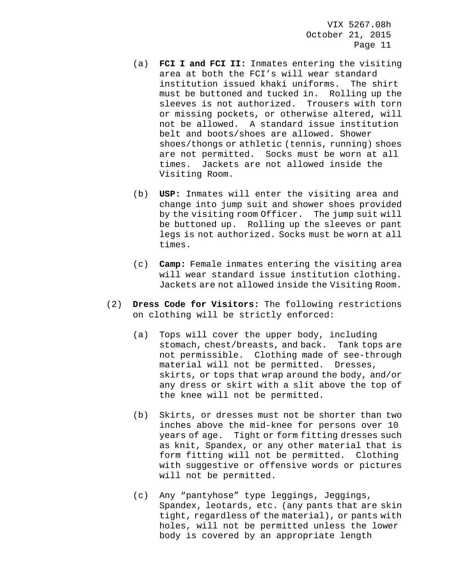- (a) **FCI I and FCI II:** Inmates entering the visiting area at both the FCI's will wear standard institution issued khaki uniforms. The shirt must be buttoned and tucked in. Rolling up the sleeves is not authorized. Trousers with torn or missing pockets, or otherwise altered, will not be allowed. A standard issue institution belt and boots/shoes are allowed. Shower shoes/thongs or athletic (tennis, running) shoes are not permitted. Socks must be worn at all times. Jackets are not allowed inside the Visiting Room.
- (b) **USP:** Inmates will enter the visiting area and change into jump suit and shower shoes provided by the visiting room Officer. The jump suit will be buttoned up. Rolling up the sleeves or pant legs is not authorized. Socks must be worn at all times.
- (c) **Camp:** Female inmates entering the visiting area will wear standard issue institution clothing. Jackets are not allowed inside the Visiting Room.
- (2) **Dress Code for Visitors:** The following restrictions on clothing will be strictly enforced:
	- (a) Tops will cover the upper body, including stomach, chest/breasts, and back. Tank tops are not permissible. Clothing made of see-through material will not be permitted. Dresses, skirts, or tops that wrap around the body, and/or any dress or skirt with a slit above the top of the knee will not be permitted.
	- (b) Skirts, or dresses must not be shorter than two inches above the mid-knee for persons over 10 years of age. Tight or form fitting dresses such as knit, Spandex, or any other material that is form fitting will not be permitted. Clothing with suggestive or offensive words or pictures will not be permitted.
	- (c) Any "pantyhose" type leggings, Jeggings, Spandex, leotards, etc. (any pants that are skin tight, regardless of the material), or pants with holes, will not be permitted unless the lower body is covered by an appropriate length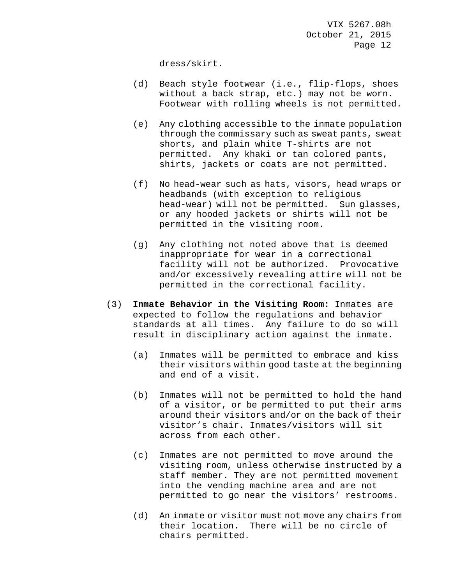dress/skirt.

- (d) Beach style footwear (i.e., flip-flops, shoes without a back strap, etc.) may not be worn. Footwear with rolling wheels is not permitted.
- (e) Any clothing accessible to the inmate population through the commissary such as sweat pants, sweat shorts, and plain white T-shirts are not permitted. Any khaki or tan colored pants, shirts, jackets or coats are not permitted.
- (f) No head-wear such as hats, visors, head wraps or headbands (with exception to religious head-wear) will not be permitted. Sun glasses, or any hooded jackets or shirts will not be permitted in the visiting room.
- (g) Any clothing not noted above that is deemed inappropriate for wear in a correctional facility will not be authorized. Provocative and/or excessively revealing attire will not be permitted in the correctional facility.
- (3) **Inmate Behavior in the Visiting Room:** Inmates are expected to follow the regulations and behavior standards at all times. Any failure to do so will result in disciplinary action against the inmate.
	- (a) Inmates will be permitted to embrace and kiss their visitors within good taste at the beginning and end of a visit.
	- (b) Inmates will not be permitted to hold the hand of a visitor, or be permitted to put their arms around their visitors and/or on the back of their visitor's chair. Inmates/visitors will sit across from each other.
	- (c) Inmates are not permitted to move around the visiting room, unless otherwise instructed by a staff member. They are not permitted movement into the vending machine area and are not permitted to go near the visitors' restrooms.
	- (d) An inmate or visitor must not move any chairs from their location. There will be no circle of chairs permitted.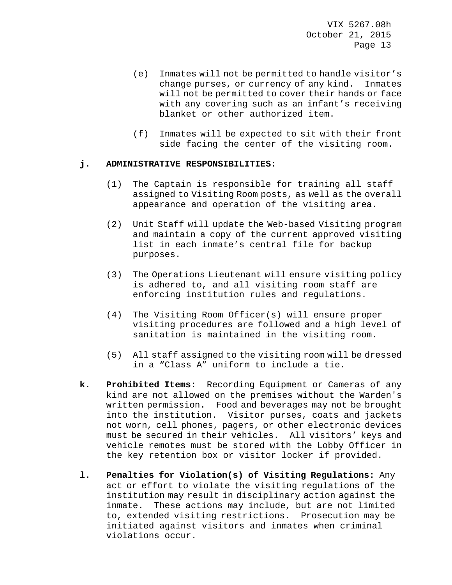- (e) Inmates will not be permitted to handle visitor's change purses, or currency of any kind. Inmates will not be permitted to cover their hands or face with any covering such as an infant's receiving blanket or other authorized item.
- (f) Inmates will be expected to sit with their front side facing the center of the visiting room.

## **j. ADMINISTRATIVE RESPONSIBILITIES:**

- (1) The Captain is responsible for training all staff assigned to Visiting Room posts, as well as the overall appearance and operation of the visiting area.
- (2) Unit Staff will update the Web-based Visiting program and maintain a copy of the current approved visiting list in each inmate's central file for backup purposes.
- (3) The Operations Lieutenant will ensure visiting policy is adhered to, and all visiting room staff are enforcing institution rules and regulations.
- (4) The Visiting Room Officer(s) will ensure proper visiting procedures are followed and a high level of sanitation is maintained in the visiting room.
- (5) All staff assigned to the visiting room will be dressed in a "Class A" uniform to include a tie.
- **k. Prohibited Items:** Recording Equipment or Cameras of any kind are not allowed on the premises without the Warden's written permission. Food and beverages may not be brought into the institution. Visitor purses, coats and jackets not worn, cell phones, pagers, or other electronic devices must be secured in their vehicles. All visitors' keys and vehicle remotes must be stored with the Lobby Officer in the key retention box or visitor locker if provided.
- **l. Penalties for Violation(s) of Visiting Regulations:** Any act or effort to violate the visiting regulations of the institution may result in disciplinary action against the inmate. These actions may include, but are not limited to, extended visiting restrictions. Prosecution may be initiated against visitors and inmates when criminal violations occur.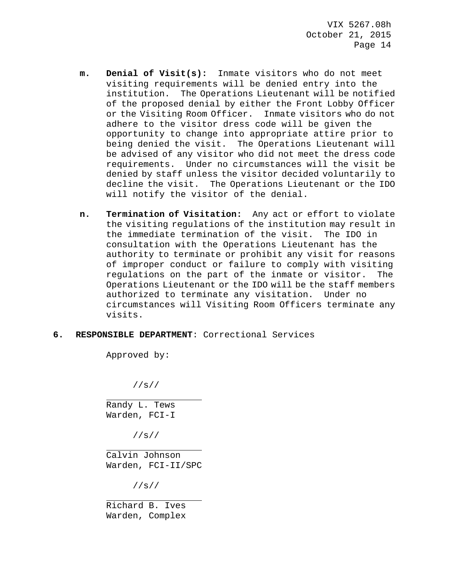- **m. Denial of Visit(s):** Inmate visitors who do not meet visiting requirements will be denied entry into the institution. The Operations Lieutenant will be notified of the proposed denial by either the Front Lobby Officer or the Visiting Room Officer. Inmate visitors who do not adhere to the visitor dress code will be given the opportunity to change into appropriate attire prior to being denied the visit. The Operations Lieutenant will be advised of any visitor who did not meet the dress code requirements. Under no circumstances will the visit be denied by staff unless the visitor decided voluntarily to decline the visit. The Operations Lieutenant or the IDO will notify the visitor of the denial.
- **n. Termination of Visitation:** Any act or effort to violate the visiting regulations of the institution may result in the immediate termination of the visit. The IDO in consultation with the Operations Lieutenant has the authority to terminate or prohibit any visit for reasons of improper conduct or failure to comply with visiting regulations on the part of the inmate or visitor. The Operations Lieutenant or the IDO will be the staff members authorized to terminate any visitation. Under no circumstances will Visiting Room Officers terminate any visits.

## **6. RESPONSIBLE DEPARTMENT**: Correctional Services

Approved by:

//s//

 $\overline{\phantom{0}}$ Randy L. Tews Warden, FCI-I

//s//

j. Calvin Johnson Warden, FCI-II/SPC

//s//

j.

Richard B. Ives Warden, Complex